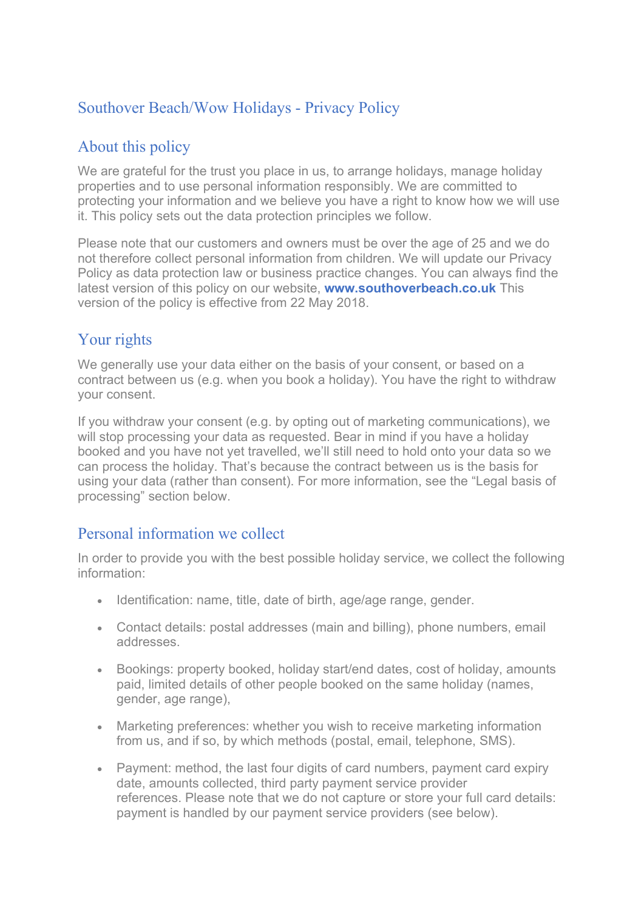# Southover Beach/Wow Holidays - Privacy Policy

## About this policy

We are grateful for the trust you place in us, to arrange holidays, manage holiday properties and to use personal information responsibly. We are committed to protecting your information and we believe you have a right to know how we will use it. This policy sets out the data protection principles we follow.

Please note that our customers and owners must be over the age of 25 and we do not therefore collect personal information from children. We will update our Privacy Policy as data protection law or business practice changes. You can always find the latest version of this policy on our website, **www.southoverbeach.co.uk** This version of the policy is effective from 22 May 2018.

## Your rights

We generally use your data either on the basis of your consent, or based on a contract between us (e.g. when you book a holiday). You have the right to withdraw your consent.

If you withdraw your consent (e.g. by opting out of marketing communications), we will stop processing your data as requested. Bear in mind if you have a holiday booked and you have not yet travelled, we'll still need to hold onto your data so we can process the holiday. That's because the contract between us is the basis for using your data (rather than consent). For more information, see the "Legal basis of processing" section below.

### Personal information we collect

In order to provide you with the best possible holiday service, we collect the following information:

- Identification: name, title, date of birth, age/age range, gender.
- Contact details: postal addresses (main and billing), phone numbers, email addresses.
- Bookings: property booked, holiday start/end dates, cost of holiday, amounts paid, limited details of other people booked on the same holiday (names, gender, age range),
- Marketing preferences: whether you wish to receive marketing information from us, and if so, by which methods (postal, email, telephone, SMS).
- Payment: method, the last four digits of card numbers, payment card expiry date, amounts collected, third party payment service provider references. Please note that we do not capture or store your full card details: payment is handled by our payment service providers (see below).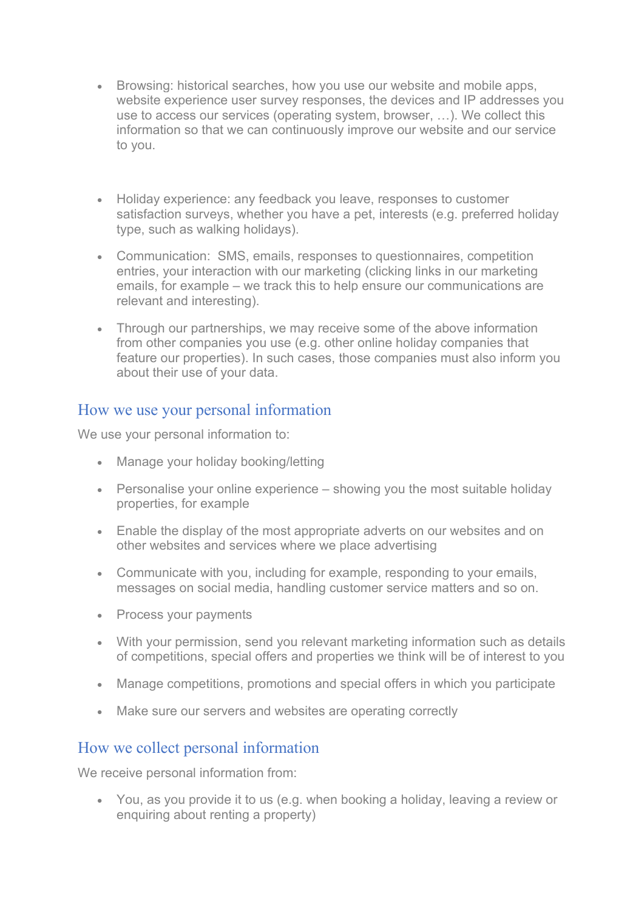- Browsing: historical searches, how you use our website and mobile apps, website experience user survey responses, the devices and IP addresses you use to access our services (operating system, browser, …). We collect this information so that we can continuously improve our website and our service to you.
- Holiday experience: any feedback you leave, responses to customer satisfaction surveys, whether you have a pet, interests (e.g. preferred holiday type, such as walking holidays).
- Communication: SMS, emails, responses to questionnaires, competition entries, your interaction with our marketing (clicking links in our marketing emails, for example – we track this to help ensure our communications are relevant and interesting).
- Through our partnerships, we may receive some of the above information from other companies you use (e.g. other online holiday companies that feature our properties). In such cases, those companies must also inform you about their use of your data.

#### How we use your personal information

We use your personal information to:

- Manage your holiday booking/letting
- Personalise your online experience showing you the most suitable holiday properties, for example
- Enable the display of the most appropriate adverts on our websites and on other websites and services where we place advertising
- Communicate with you, including for example, responding to your emails, messages on social media, handling customer service matters and so on.
- Process your payments
- With your permission, send you relevant marketing information such as details of competitions, special offers and properties we think will be of interest to you
- Manage competitions, promotions and special offers in which you participate
- Make sure our servers and websites are operating correctly

### How we collect personal information

We receive personal information from:

• You, as you provide it to us (e.g. when booking a holiday, leaving a review or enquiring about renting a property)